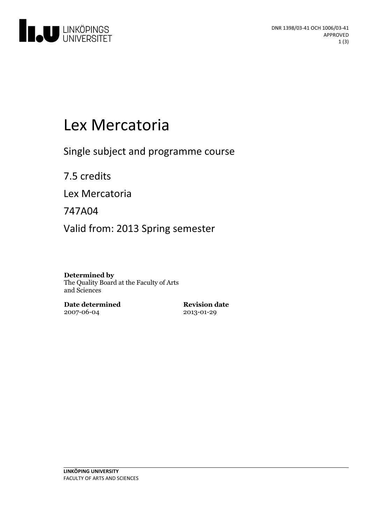

# Lex Mercatoria

Single subject and programme course

7.5 credits

Lex Mercatoria

747A04

Valid from: 2013 Spring semester

#### **Determined by**

The Quality Board at the Faculty of Arts and Sciences

**Date determined** 2007-06-04

**Revision date** 2013-01-29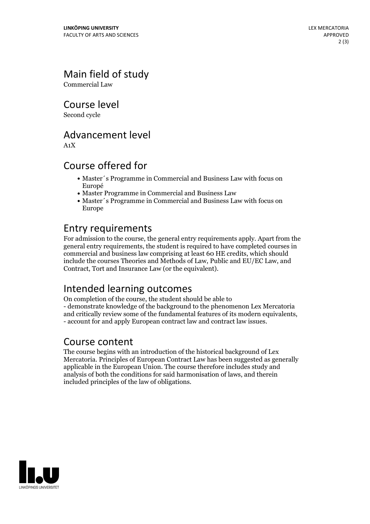## Main field of study

Commercial Law

Course level

Second cycle

## Advancement level

A1X

## Course offered for

- Master´s Programme in Commercial and Business Law with focus on Europé
- Master Programme in Commercial and Business Law
- Master's Programme in Commercial and Business Law with focus on Europe

## Entry requirements

For admission to the course, the general entry requirements apply. Apart from the general entry requirements, the student is required to have completed courses in commercial and business law comprising at least 60 HE credits, which should include the courses Theories and Methods of Law, Public and EU/EC Law, and Contract, Tort and Insurance Law (or the equivalent).

## Intended learning outcomes

On completion of the course, the student should be able to - demonstrate knowledge of the background to the phenomenon Lex Mercatoria and critically review some of the fundamental features of its modern equivalents, - account for and apply European contract law and contract law issues.

#### Course content

The course begins with an introduction of the historical background of Lex Mercatoria. Principles of European Contract Law has been suggested as generally applicable in the European Union. The course therefore includes study and analysis of both the conditions for said harmonisation of laws, and therein included principles of the law of obligations.